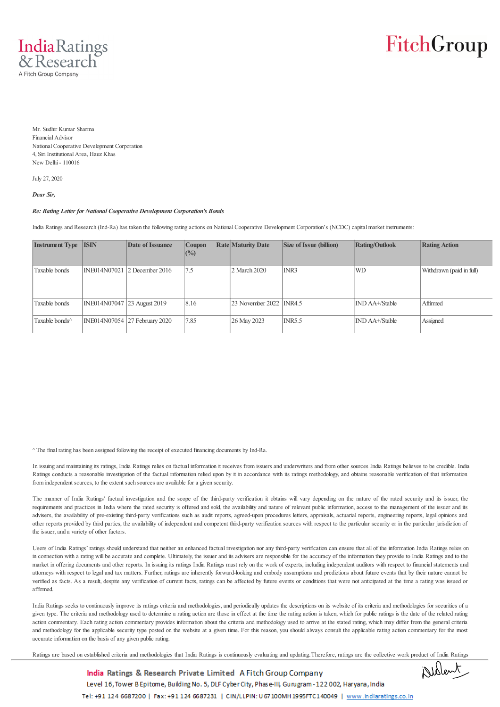IndiaRatings & Research A Fitch Group Company

FitchGroup

Mr. Sudhir Kumar Sharma Financial Advisor National Cooperative Development Corporation 4, Siri Institutional Area, Hauz Khas New Delhi - 110016

July 27, 2020

*Dear Sir,*

## *Re: Rating Letter for National Cooperative Development Corporation's Bonds*

India Ratings and Research (Ind-Ra) has taken the following rating actions on National Cooperative Development Corporation's (NCDC) capital market instruments:

| <b>Instrument Type ISIN</b> |                             | Date of Issuance              | <b>Coupon</b><br>$($ %) | <b>Rate Maturity Date</b> | Size of Issue (billion) | <b>Rating/Outlook</b> | <b>Rating Action</b>     |
|-----------------------------|-----------------------------|-------------------------------|-------------------------|---------------------------|-------------------------|-----------------------|--------------------------|
| Taxable bonds               |                             | INE014N07021 2 December 2016  | 7.5                     | 2 March 2020              | INR3                    | <b>WD</b>             | Withdrawn (paid in full) |
| Taxable bonds               | INE014N07047 23 August 2019 |                               | 8.16                    | 23 November 2022 INR4.5   |                         | IND AA+/Stable        | Affirmed                 |
| Taxable bonds <sup>^</sup>  |                             | INE014N07054 27 February 2020 | 7.85                    | 26 May 2023               | INRS.5                  | IND AA+/Stable        | Assigned                 |

^ The final rating has been assigned following the receipt of executed financing documents by Ind-Ra.

In issuing and maintaining its ratings, India Ratings relies on factual information it receives from issuers and underwriters and from other sources India Ratings believes to be credible. India Ratings conducts a reasonable investigation of the factual information relied upon by it in accordance with its ratings methodology, and obtains reasonable verification of that information from independent sources, to the extent such sources are available for a given security.

The manner of India Ratings' factual investigation and the scope of the third-party verification it obtains will vary depending on the nature of the rated security and its issuer, the requirements and practices in India where the rated security is offered and sold, the availability and nature of relevant public information, access to the management of the issuer and its advisers, the availability of pre-existing third-party verifications such as audit reports, agreed-upon procedures letters, appraisals, actuarial reports, engineering reports, legal opinions and other reports provided by third parties, the availability of independent and competent third-party verification sources with respect to the particular security or in the particular jurisdiction of the issuer, and a variety of other factors.

Users of India Ratings' ratings should understand that neither an enhanced factual investigation nor any third-party verification can ensure that all of the information India Ratings relies on in connection with a rating will be accurate and complete. Ultimately, the issuer and its advisers are responsible for the accuracy of the information they provide to India Ratings and to the market in offering documents and other reports. In issuing its ratings India Ratings must rely on the work of experts, including independent auditors with respect to financial statements and attorneys with respect to legal and tax matters. Further, ratings are inherently forward-looking and embody assumptions and predictions about future events that by their nature cannot be verified as facts. As a result, despite any verification of current facts, ratings can be affected by future events or conditions that were not anticipated at the time a rating was issued or affirmed.

India Ratings seeks to continuously improve its ratings criteria and methodologies, and periodically updates the descriptions on its website of its criteria and methodologies for securities of a given type. The criteria and methodology used to determine a rating action are those in effect at the time the rating action is taken, which for public ratings is the date of the related rating action commentary. Each rating action commentary provides information about the criteria and methodology used to arrive at the stated rating, which may differ from the general criteria and methodology for the applicable security type posted on the website at a given time. For this reason, you should always consult the applicable rating action commentary for the most accurate information on the basis of any given public rating.

Ratings are based on established criteria and methodologies that India Ratings is continuously evaluating and updating. Therefore, ratings are the collective work product of India Ratings



India Ratings & Research Private Limited A Fitch Group Company Level 16, Tower B Epitome, Building No. 5, DLF Cyber City, Phase-III, Gurugram-122002, Haryana, India Tel: +91 124 6687200 | Fax: +91 124 6687231 | CIN/LLPIN: U 67 100MH 1995FTC140049 | www.indiaratings.co.in